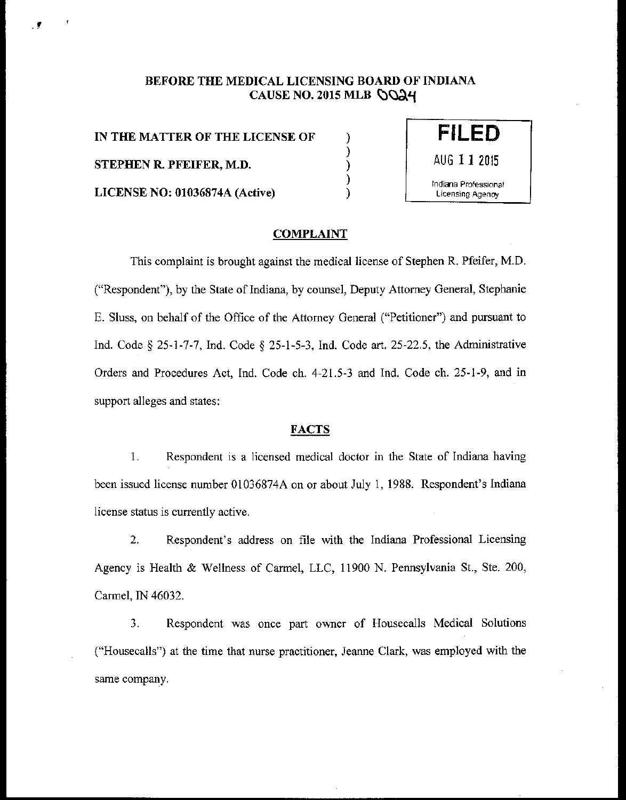# BEFORE THE MEDICAL LICENSING BOARD OF INDIANA CAUSE NO. 2015 MLB  $\bigcirc$ O24

) ) ) ) )

IN THE MATTER OF THE LICENSE OF STEPHEN R. PFEIFER, M.D. LICENSE NO: 01036874A (Active)



### COMPLAINT

This complaint is brought against the medical license of Stephen R. Pfeifer, M.D. ("Respondent"), by the State of Indiana, by counsel, Deputy Attorney General, Stephanie E. Sluss, on behalf of the Office of the Attorney General ("Petitioner") and pursuant to Ind. Code§ 25-1-7-7, Ind. Code§ 25-1-5-3, Ind. Code art. 25-22.5, the Administrative Orders and Procedures Act, Ind. Code ch. 4-21.5-3 and Ind. Code ch. 25-1-9, and in support alleges and states:

### **FACTS**

1. Respondent is a licensed medical doctor in the State of Indiana having been issued license number 01036874A on or about July 1, 1988. Respondent's Indiana license status is currently active.

2. Respondent's address on file with the Indiana Professional Licensing Agency is Health & Wellness of Cannel, LLC, 11900 N. Pennsylvania St., Ste. 200, Cannel, IN 46032.

3. Respondent was once part owner of Housecalls Medical Solutions ("Housecalls") at the time that nurse practitioner, Jeanne Clark, was employed with the same company.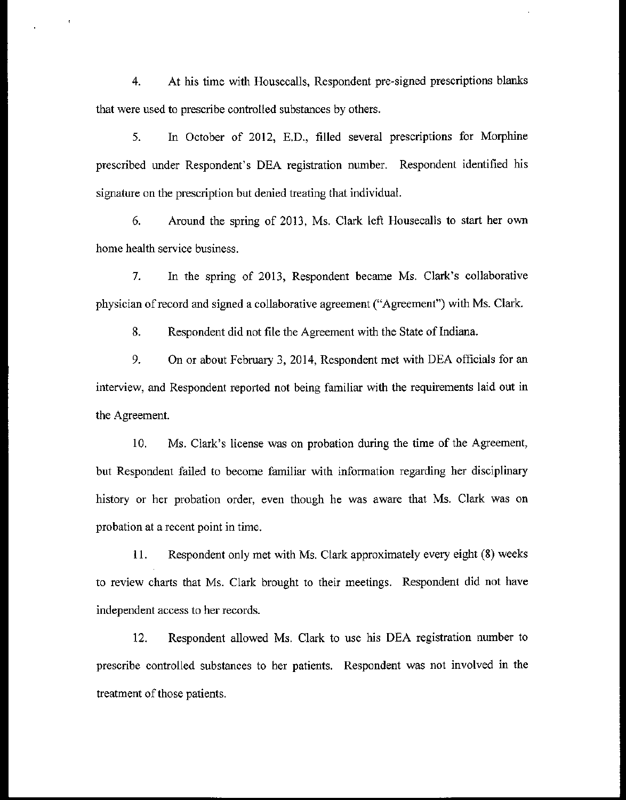4. At his time with Housecalls, Respondent pre~signed prescriptions blanks that were used to prescribe controlled substances by others.

5. In October of 2012, E.D., filled several prescriptions for Morphine prescribed under Respondent's DEA registration number. Respondent identified his signature on the prescription but denied treating that individual.

6. Around the spring of 2013, Ms. Clark left Housecalls to start her own home health service business.

7. In the spring of 2013, Respondent became Ms. Clark's collaborative physician of record and signed a collaborative agreement ("Agreement") with Ms. Clark.

8. Respondent did not file the Agreement with the State of Indiana.

9. On or about February 3, 2014, Respondent met with DEA officials for an interview, and Respondent reported not being familiar with the requirements laid out in the Agreement.

10. Ms. Clark's license was on probation during the time of the Agreement, but Respondent failed to become familiar with information regarding her disciplinary history or her probation order, even though he was aware that Ms. Clark was on probation at a recent point in time.

II. Respondent only met with Ms. Clark approximately every eight (8) weeks to review charts that Ms. Clark brought to their meetings. Respondent did not have independent access to her records.

12. Respondent allowed Ms. Clark to use his DEA registration number to prescribe controlled substances to her patients. Respondent was not involved in the treatment of those patients.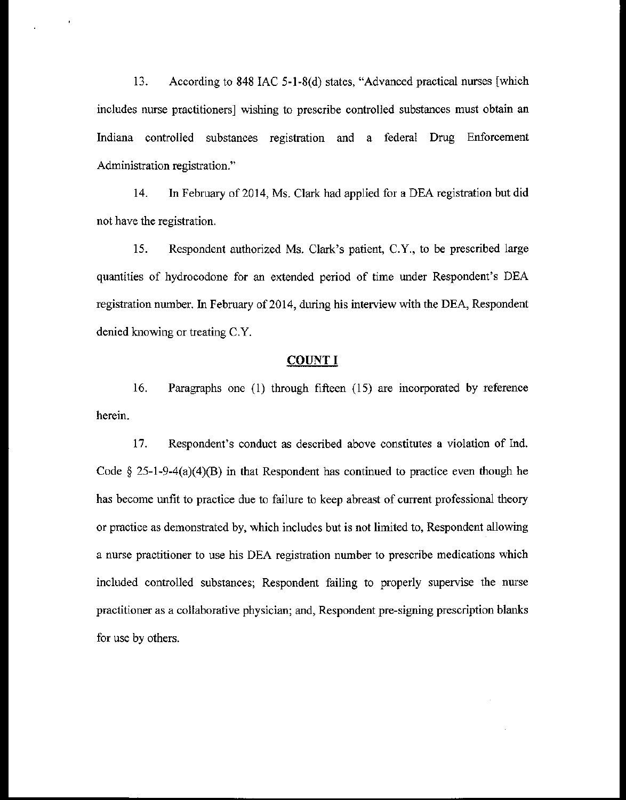13. According to 848 lAC 5-l-8(d) states, "Advanced practical nurses [which includes nurse practitioners] wishing to prescribe controlled substances must obtain an Indiana controlled substances registration and a federal Drug Enforcement Administration registration."

14. In February of 2014, Ms. Clark had applied for a DEA registration but did not have the registration.

15. Respondent authorized Ms. Clark's patient, C.Y., to be prescribed large quantities of hydrocodone for an extended period of time under Respondent's DEA registration number. In February of 2014, during his interview with the DEA, Respondent denied knowing or treating C.Y.

## **COUNT I**

16. Paragraphs one (1) through fifteen (15) are incorporated by reference herein.

17. Respondent's conduct as described above constitutes a violation of Ind. Code  $\S 25-1-9-4(a)(4)(B)$  in that Respondent has continued to practice even though he has become unfit to practice due to failure to keep abreast of current professional theory or practice as demonstrated by, which includes but is not limited to, Respondent allowing a nurse practitioner to use his DEA registration number to prescribe medications which included controlled substances; Respondent failing to properly supervise the nurse practitioner as a collaborative physician; and, Respondent pre-signing prescription blanks for use by others.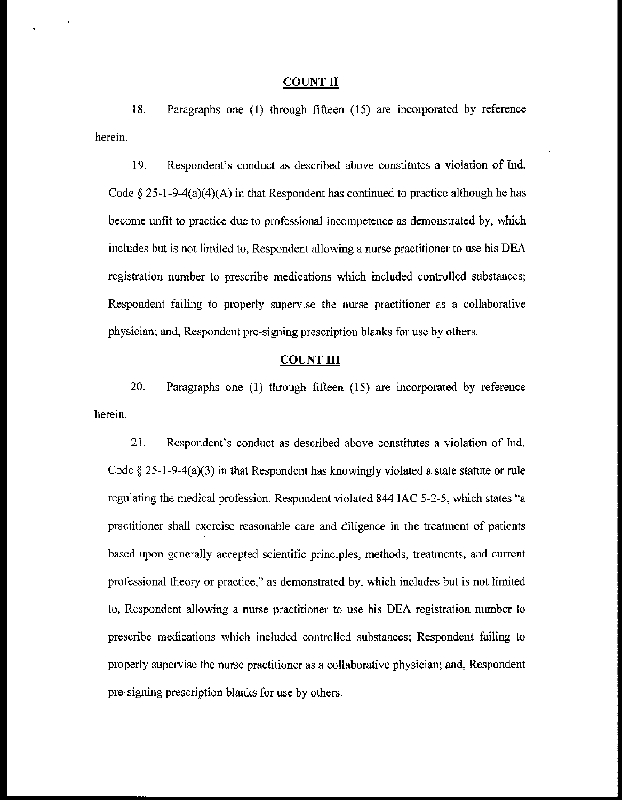#### COUNT II

18. Paragraphs one (I) through fifteen (15) are incorporated by reference herein.

19. Respondent's conduct as described above constitutes a violation of Ind. Code  $\S 25-1-9-4(a)(4)(A)$  in that Respondent has continued to practice although he has become unfit to practice due to professional incompetence as demonstrated by, which includes but is not limited to, Respondent allowing a nurse practitioner to use his DEA registration number to prescribe medications which included controlled substances; Respondent failing to properly supervise the nurse practitioner as a collaborative physician; and, Respondent pre-signing prescription blanks for use by others.

## COUNT III

20. Paragraphs one (I) through fifteen (15) are incorporated by reference herein.

21. Respondent's conduct as described above constitutes a violation of Ind. Code  $\S 25$ -1-9-4(a)(3) in that Respondent has knowingly violated a state statute or rule regulating the medical profession. Respondent violated 844 lAC 5-2-5, which states "a practitioner shall exercise reasonable care and diligence in the treatment of patients based upon generally accepted scientific principles, methods, treatments, and current professional theory or practice," as demonstrated by, which includes but is not limited to, Respondent allowing a nurse practitioner to use his DEA registration number to prescribe medications which included controlled substances; Respondent failing to properly supervise the nurse practitioner as a collaborative physician; and, Respondent pre-signing prescription blanks for use by others.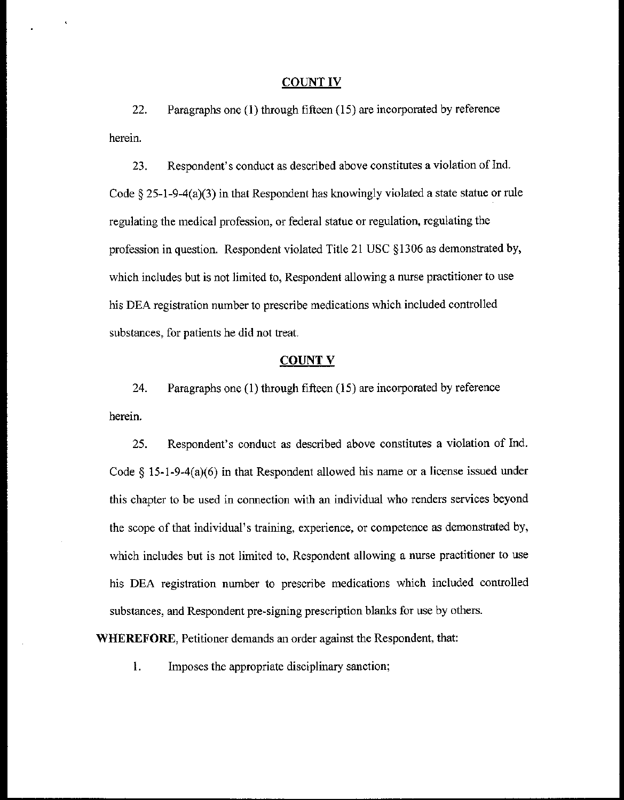#### COUNT IV

22. Paragraphs one (I) through fifteen (15) are incorporated by reference herein.

23. Respondent's conduct as described above constitutes a violation of Ind. Code  $\S 25$ -1-9-4(a)(3) in that Respondent has knowingly violated a state statue or rule regulating the medical profession, or federal statue or regulation, regulating the profession in question. Respondent violated Title 21 USC §1306 as demonstrated by, which includes but is not limited to, Respondent allowing a nurse practitioner to use his DEA registration number to prescribe medications which included controlled substances, for patients he did not treat.

#### **COUNT V**

24. Paragraphs one (I) through fifteen (15) are incorporated by reference herein.

25. Respondent's conduct as described above constitutes a violation of Ind. Code  $\S$  15-1-9-4(a)(6) in that Respondent allowed his name or a license issued under this chapter to be used in connection with an individual who renders services beyond the scope of that individual's training, experience, or competence as demonstrated by, which includes but is not limited to, Respondent allowing a nurse practitioner to use his DEA registration number to prescribe medications which included controlled substances, and Respondent pre~signing prescription blanks for use by others.

**WHEREFORE,** Petitioner demands an order against the Respondent, that:

I. Imposes the appropriate disciplinary sanction;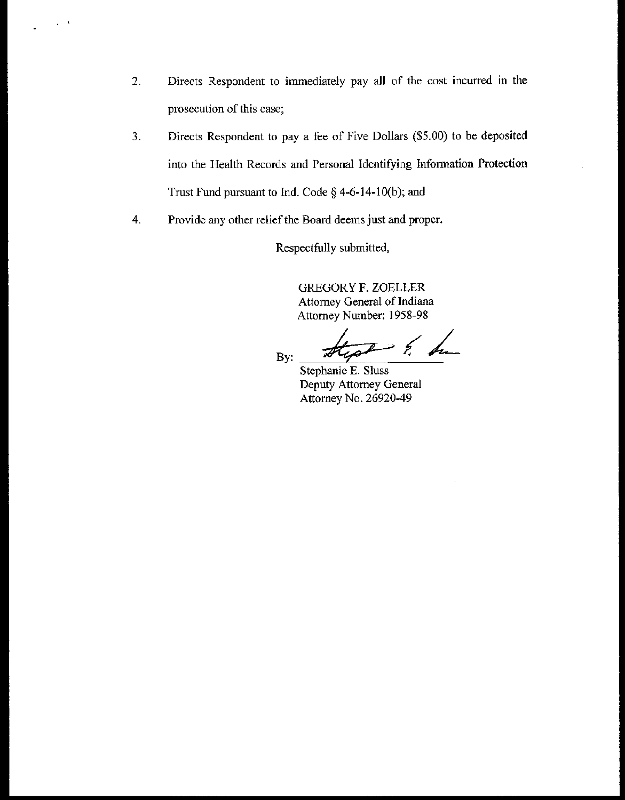- **2. Directs Respondent to immediately pay all of the cost incurred in the prosecution of this case;**
- 3. Directs Respondent to pay a fee of Five Dollars (\$5.00) to be deposited **into the Health Records and Personal Identifying Infonnation Protection**  Trust Fund pursuant to Ind. Code  $\S$  4-6-14-10(b); and
- **4. Provide any other relief the Board deems just and proper.**

 $\mu=0$ 

Respectfully submitted,

GREGORY F. ZOELLER **Attorney General of Indiana**  Attorney Number: 1958-98

By:

 $2\times h$ 

Stephanie E. Sluss **Deputy Attorney General**  Attorney No. 26920-49